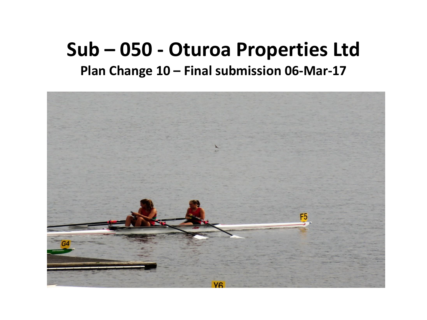## **Sub – 050 - Oturoa Properties Ltd Plan Change 10 – Final submission 06-Mar-17**

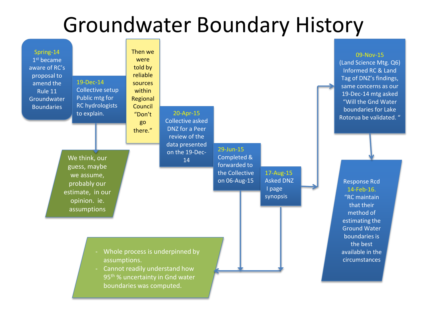## Groundwater Boundary History

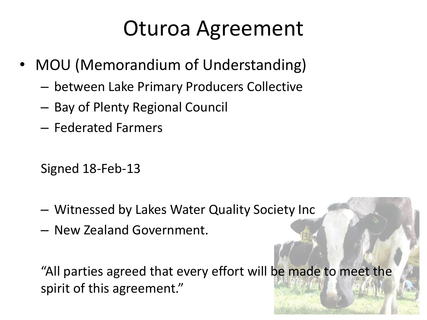## Oturoa Agreement

- MOU (Memorandium of Understanding)
	- between Lake Primary Producers Collective
	- Bay of Plenty Regional Council
	- Federated Farmers

Signed 18-Feb-13

- Witnessed by Lakes Water Quality Society Inc
- New Zealand Government.

"All parties agreed that every effort will be made to meet the spirit of this agreement."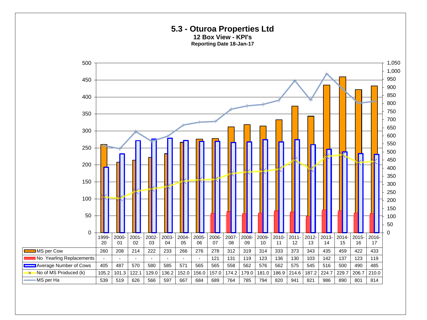